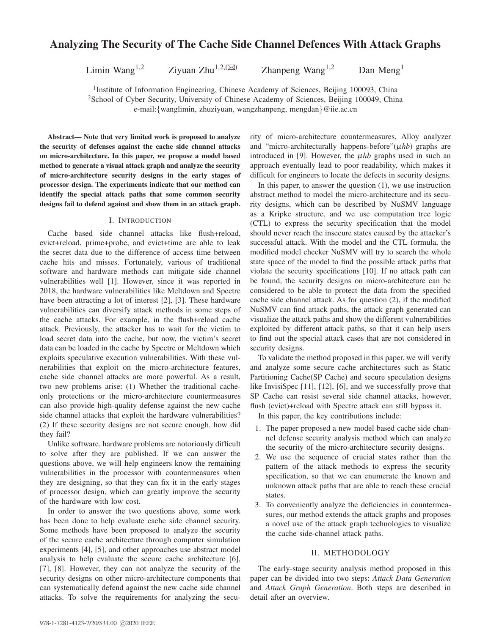# Analyzing The Security of The Cache Side Channel Defences With Attack Graphs

Limin Wang<sup>1,2</sup> Ziyuan Zhu<sup>1,2,( $\boxtimes$ ) Zhanpeng Wang<sup>1,2</sup> Dan Meng<sup>1</sup></sup>

<sup>1</sup>Institute of Information Engineering, Chinese Academy of Sciences, Beijing 100093, China <sup>2</sup>School of Cyber Security, University of Chinese Academy of Sciences, Beijing 100049, China

e-mail:{wanglimin, zhuziyuan, wangzhanpeng, mengdan}@iie.ac.cn

Abstract— Note that very limited work is proposed to analyze the security of defenses against the cache side channel attacks on micro-architecture. In this paper, we propose a model based method to generate a visual attack graph and analyze the security of micro-architecture security designs in the early stages of processor design. The experiments indicate that our method can identify the special attack paths that some common security designs fail to defend against and show them in an attack graph.

## I. INTRODUCTION

Cache based side channel attacks like flush+reload, evict+reload, prime+probe, and evict+time are able to leak the secret data due to the difference of access time between cache hits and misses. Fortunately, various of traditional software and hardware methods can mitigate side channel vulnerabilities well [1]. However, since it was reported in 2018, the hardware vulnerabilities like Meltdown and Spectre have been attracting a lot of interest [2], [3]. These hardware vulnerabilities can diversify attack methods in some steps of the cache attacks. For example, in the flush+reload cache attack. Previously, the attacker has to wait for the victim to load secret data into the cache, but now, the victim's secret data can be loaded in the cache by Spectre or Meltdown which exploits speculative execution vulnerabilities. With these vulnerabilities that exploit on the micro-architecture features, cache side channel attacks are more powerful. As a result, two new problems arise: (1) Whether the traditional cacheonly protections or the micro-architecture countermeasures can also provide high-quality defense against the new cache side channel attacks that exploit the hardware vulnerabilities? (2) If these security designs are not secure enough, how did they fail?

Unlike software, hardware problems are notoriously difficult to solve after they are published. If we can answer the questions above, we will help engineers know the remaining vulnerabilities in the processor with countermeasures when they are designing, so that they can fix it in the early stages of processor design, which can greatly improve the security of the hardware with low cost.

In order to answer the two questions above, some work has been done to help evaluate cache side channel security. Some methods have been proposed to analyze the security of the secure cache architecture through computer simulation experiments [4], [5], and other approaches use abstract model analysis to help evaluate the secure cache architecture [6], [7], [8]. However, they can not analyze the security of the security designs on other micro-architecture components that can systematically defend against the new cache side channel attacks. To solve the requirements for analyzing the security of micro-architecture countermeasures, Alloy analyzer and "micro-architecturally happens-before" $(\mu h b)$  graphs are introduced in [9]. However, the µ*hb* graphs used in such an approach eventually lead to poor readability, which makes it difficult for engineers to locate the defects in security designs.

In this paper, to answer the question  $(1)$ , we use instruction abstract method to model the micro-architecture and its security designs, which can be described by NuSMV language as a Kripke structure, and we use computation tree logic (CTL) to express the security specification that the model should never reach the insecure states caused by the attacker's successful attack. With the model and the CTL formula, the modified model checker NuSMV will try to search the whole state space of the model to find the possible attack paths that violate the security specifications [10]. If no attack path can be found, the security designs on micro-architecture can be considered to be able to protect the data from the specified cache side channel attack. As for question (2), if the modified NuSMV can find attack paths, the attack graph generated can visualize the attack paths and show the different vulnerabilities exploited by different attack paths, so that it can help users to find out the special attack cases that are not considered in security designs.

To validate the method proposed in this paper, we will verify and analyze some secure cache architectures such as Static Partitioning Cache(SP Cache) and secure speculation designs like InvisiSpec [11], [12], [6], and we successfully prove that SP Cache can resist several side channel attacks, however, flush (evict)+reload with Spectre attack can still bypass it.

In this paper, the key contributions include:

- 1. The paper proposed a new model based cache side channel defense security analysis method which can analyze the security of the micro-architecture security designs.
- 2. We use the sequence of crucial states rather than the pattern of the attack methods to express the security specification, so that we can enumerate the known and unknown attack paths that are able to reach these crucial states.
- 3. To conveniently analyze the deficiencies in countermeasures, our method extends the attack graphs and proposes a novel use of the attack graph technologies to visualize the cache side-channel attack paths.

## II. METHODOLOGY

The early-stage security analysis method proposed in this paper can be divided into two steps: *Attack Data Generation* and *Attack Graph Generation*. Both steps are described in detail after an overview.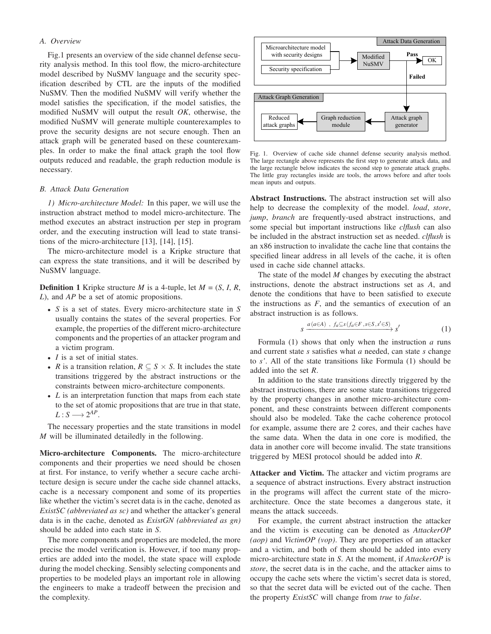#### *A. Overview*

Fig.1 presents an overview of the side channel defense security analysis method. In this tool flow, the micro-architecture model described by NuSMV language and the security specification described by CTL are the inputs of the modified NuSMV. Then the modified NuSMV will verify whether the model satisfies the specification, if the model satisfies, the modified NuSMV will output the result *OK*, otherwise, the modified NuSMV will generate multiple counterexamples to prove the security designs are not secure enough. Then an attack graph will be generated based on these counterexamples. In order to make the final attack graph the tool flow outputs reduced and readable, the graph reduction module is necessary.

## *B. Attack Data Generation*

*1) Micro-architecture Model:* In this paper, we will use the instruction abstract method to model micro-architecture. The method executes an abstract instruction per step in program order, and the executing instruction will lead to state transitions of the micro-architecture [13], [14], [15].

The micro-architecture model is a Kripke structure that can express the state transitions, and it will be described by NuSMV language.

**Definition 1** Kripke structure *M* is a 4-tuple, let  $M = (S, I, R, \mathbb{R})$ *L*), and *AP* be a set of atomic propositions.

- *S* is a set of states. Every micro-architecture state in *S* usually contains the states of the several properties. For example, the properties of the different micro-architecture components and the properties of an attacker program and a victim program.
- *I* is a set of initial states.
- *R* is a transition relation,  $R \subseteq S \times S$ . It includes the state transitions triggered by the abstract instructions or the constraints between micro-architecture components.
- *L* is an interpretation function that maps from each state to the set of atomic propositions that are true in that state,  $L: S \longrightarrow 2^{AP}.$

The necessary properties and the state transitions in model *M* will be illuminated detailedly in the following.

Micro-architecture Components. The micro-architecture components and their properties we need should be chosen at first. For instance, to verify whether a secure cache architecture design is secure under the cache side channel attacks, cache is a necessary component and some of its properties like whether the victim's secret data is in the cache, denoted as *ExistSC (abbreviated as sc)* and whether the attacker's general data is in the cache, denoted as *ExistGN (abbreviated as gn)* should be added into each state in *S*.

The more components and properties are modeled, the more precise the model verification is. However, if too many properties are added into the model, the state space will explode during the model checking. Sensibly selecting components and properties to be modeled plays an important role in allowing the engineers to make a tradeoff between the precision and the complexity.



Fig. 1. Overview of cache side channel defense security analysis method. The large rectangle above represents the first step to generate attack data, and the large rectangle below indicates the second step to generate attack graphs. The little gray rectangles inside are tools, the arrows before and after tools mean inputs and outputs.

Abstract Instructions. The abstract instruction set will also help to decrease the complexity of the model. *load*, *store*, *jump*, *branch* are frequently-used abstract instructions, and some special but important instructions like *clflush* can also be included in the abstract instruction set as needed. *clflush* is an x86 instruction to invalidate the cache line that contains the specified linear address in all levels of the cache, it is often used in cache side channel attacks.

The state of the model *M* changes by executing the abstract instructions, denote the abstract instructions set as *A*, and denote the conditions that have to been satisfied to execute the instructions as  $F$ , and the semantics of execution of an abstract instruction is as follows.

$$
s \xrightarrow{a(a \in A) , f_a \subseteq s(f_a \in F, s \in S, s' \in S)} s'
$$
 (1)

Formula (1) shows that only when the instruction *a* runs and current state *s* satisfies what *a* needed, can state *s* change to *s'*. All of the state transitions like Formula (1) should be added into the set *R*.

In addition to the state transitions directly triggered by the abstract instructions, there are some state transitions triggered by the property changes in another micro-architecture component, and these constraints between different components should also be modeled. Take the cache coherence protocol for example, assume there are 2 cores, and their caches have the same data. When the data in one core is modified, the data in another core will become invalid. The state transitions triggered by MESI protocol should be added into *R*.

Attacker and Victim. The attacker and victim programs are a sequence of abstract instructions. Every abstract instruction in the programs will affect the current state of the microarchitecture. Once the state becomes a dangerous state, it means the attack succeeds.

For example, the current abstract instruction the attacker and the victim is executing can be denoted as *AttackerOP (aop)* and *VictimOP (vop)*. They are properties of an attacker and a victim, and both of them should be added into every micro-architecture state in *S*. At the moment, if *AttackerOP* is *store*, the secret data is in the cache, and the attacker aims to occupy the cache sets where the victim's secret data is stored, so that the secret data will be evicted out of the cache. Then the property *ExistSC* will change from *true* to *false*.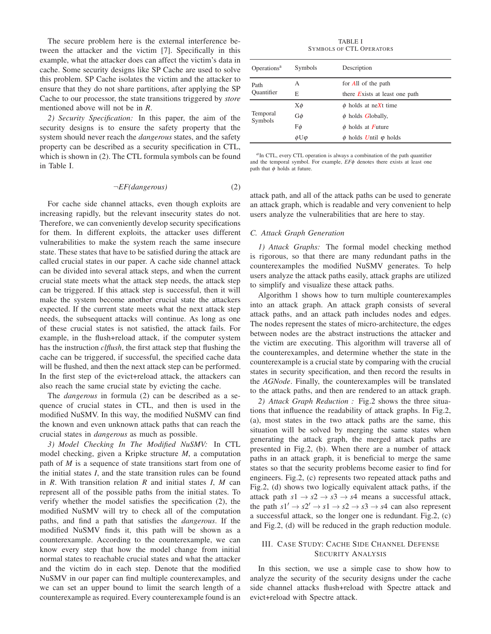The secure problem here is the external interference between the attacker and the victim [7]. Specifically in this example, what the attacker does can affect the victim's data in cache. Some security designs like SP Cache are used to solve this problem. SP Cache isolates the victim and the attacker to ensure that they do not share partitions, after applying the SP Cache to our processor, the state transitions triggered by *store* mentioned above will not be in *R*.

*2) Security Specification:* In this paper, the aim of the security designs is to ensure the safety property that the system should never reach the *dangerous* states, and the safety property can be described as a security specification in CTL, which is shown in (2). The CTL formula symbols can be found in Table I.

$$
\neg EF (dangerous) \tag{2}
$$

For cache side channel attacks, even though exploits are increasing rapidly, but the relevant insecurity states do not. Therefore, we can conveniently develop security specifications for them. In different exploits, the attacker uses different vulnerabilities to make the system reach the same insecure state. These states that have to be satisfied during the attack are called crucial states in our paper. A cache side channel attack can be divided into several attack steps, and when the current crucial state meets what the attack step needs, the attack step can be triggered. If this attack step is successful, then it will make the system become another crucial state the attackers expected. If the current state meets what the next attack step needs, the subsequent attacks will continue. As long as one of these crucial states is not satisfied, the attack fails. For example, in the flush+reload attack, if the computer system has the instruction *clflush*, the first attack step that flushing the cache can be triggered, if successful, the specified cache data will be flushed, and then the next attack step can be performed. In the first step of the evict+reload attack, the attackers can also reach the same crucial state by evicting the cache.

The *dangerous* in formula (2) can be described as a sequence of crucial states in CTL, and then is used in the modified NuSMV. In this way, the modified NuSMV can find the known and even unknown attack paths that can reach the crucial states in *dangerous* as much as possible.

*3) Model Checking In The Modified NuSMV:* In CTL model checking, given a Kripke structure *M*, a computation path of *M* is a sequence of state transitions start from one of the initial states *I*, and the state transition rules can be found in *R*. With transition relation *R* and initial states *I*, *M* can represent all of the possible paths from the initial states. To verify whether the model satisfies the specification (2), the modified NuSMV will try to check all of the computation paths, and find a path that satisfies the *dangerous*. If the modified NuSMV finds it, this path will be shown as a counterexample. According to the counterexample, we can know every step that how the model change from initial normal states to reachable crucial states and what the attacker and the victim do in each step. Denote that the modified NuSMV in our paper can find multiple counterexamples, and we can set an upper bound to limit the search length of a counterexample as required. Every counterexample found is an

TABLE I SYMBOLS OF CTL OPERATORS

| Operations <sup>a</sup> | Symbols            | Description                     |  |
|-------------------------|--------------------|---------------------------------|--|
| Path                    | A                  | for All of the path             |  |
| Quantifier              | E                  | there Exists at least one path  |  |
|                         | Xφ                 | $\phi$ holds at neXt time       |  |
| Temporal<br>Symbols     | Gφ                 | $\phi$ holds Globally,          |  |
|                         | Fφ                 | $\phi$ holds at Future          |  |
|                         | $\phi$ U $\varphi$ | $\phi$ holds Until $\phi$ holds |  |

*a* In CTL, every CTL operation is always a combination of the path quantifier and the temporal symbol. For example, *EF*φ denotes there exists at least one path that  $\phi$  holds at future.

attack path, and all of the attack paths can be used to generate an attack graph, which is readable and very convenient to help users analyze the vulnerabilities that are here to stay.

## *C. Attack Graph Generation*

*1) Attack Graphs:* The formal model checking method is rigorous, so that there are many redundant paths in the counterexamples the modified NuSMV generates. To help users analyze the attack paths easily, attack graphs are utilized to simplify and visualize these attack paths.

Algorithm 1 shows how to turn multiple counterexamples into an attack graph. An attack graph consists of several attack paths, and an attack path includes nodes and edges. The nodes represent the states of micro-architecture, the edges between nodes are the abstract instructions the attacker and the victim are executing. This algorithm will traverse all of the counterexamples, and determine whether the state in the counterexample is a crucial state by comparing with the crucial states in security specification, and then record the results in the *AGNode*. Finally, the counterexamples will be translated to the attack paths, and then are rendered to an attack graph.

*2) Attack Graph Reduction :* Fig.2 shows the three situations that influence the readability of attack graphs. In Fig.2, (a), most states in the two attack paths are the same, this situation will be solved by merging the same states when generating the attack graph, the merged attack paths are presented in Fig.2, (b). When there are a number of attack paths in an attack graph, it is beneficial to merge the same states so that the security problems become easier to find for engineers. Fig.2, (c) represents two repeated attack paths and Fig.2, (d) shows two logically equivalent attack paths, if the attack path  $s1 \rightarrow s2 \rightarrow s3 \rightarrow s4$  means a successful attack, the path  $s1' \rightarrow s2' \rightarrow s1 \rightarrow s2 \rightarrow s3 \rightarrow s4$  can also represent a successful attack, so the longer one is redundant. Fig.2, (c) and Fig.2, (d) will be reduced in the graph reduction module.

## III. CASE STUDY: CACHE SIDE CHANNEL DEFENSE SECURITY ANALYSIS

In this section, we use a simple case to show how to analyze the security of the security designs under the cache side channel attacks flush+reload with Spectre attack and evict+reload with Spectre attack.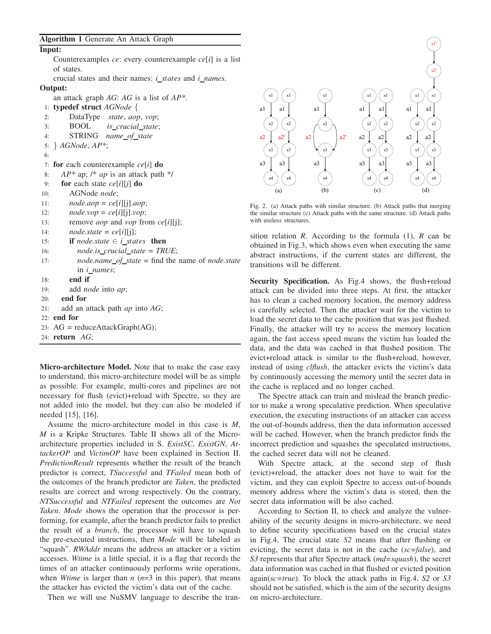## Input:

Counterexamples *ce*: every counterexample *ce*[*i*] is a list of states.

crucial states and their names: *i states* and *i names*. Output:

an attack graph *AG*: *AG* is a list of *AP\**.

- 1: typedef struct *AGNode* {
- 2: DataType *state*, *aop*, *vop*;
- 3: BOOL *is crucial state*;
- 4: STRING *name of state*
- 5: } *AGNode*, *AP\**;
- 6:
	-
- 7: for each counterexample *ce*[*i*] do
- 8: *AP\** ap; /\* *ap* is an attack path \*/
- 9: for each state *ce*[*i*][*j*] do
- 10: AGNode *node*;
- 11: *node.aop* = *ce*[*i*][j].*aop*;
- 12: *node.vop* = *ce*[*i*][j].*vop*;
- 13: remove *aop* and *vop* from *ce*[*i*][j];
- 14:  $node.state = ce[i][i];$
- 15: **if** *node.state*  $\in$  *i\_states* **then**
- 16: *node.is crucial state* = *TRUE*;
- 17: *node.name of state* = find the name of *node.state* in *i names*;
- 18: end if
- 19: add *node* into *ap*;
- 20: end for
- 21: add an attack path *ap* into *AG*;
- 22: end for
- 23:  $AG = \text{reduceAttackGraph}(AG);$
- 24: return *AG*;

Micro-architecture Model. Note that to make the case easy to understand, this micro-architecture model will be as simple as possible. For example, multi-cores and pipelines are not necessary for flush (evict)+reload with Spectre, so they are not added into the model, but they can also be modeled if needed [15], [16].

Assume the micro-architecture model in this case is *M*, *M* is a Kripke Structures. Table II shows all of the Microarchitecture properties included in S. *ExistSC*, *ExistGN*, *AttackerOP* and *VictimOP* have been explained in Section II. *PredictionResult* represents whether the result of the branch predictor is correct, *TSuccessful* and *TFailed* mean both of the outcomes of the branch predictor are *Taken*, the predicted results are correct and wrong respectively. On the contrary, *NTSuccessful* and *NTFailed* represent the outcomes are *Not Taken*. *Mode* shows the operation that the processor is performing, for example, after the branch predictor fails to predict the result of a *branch*, the processor will have to squash the pre-executed instructions, then *Mode* will be labeled as "squash". *RWAddr* means the address an attacker or a victim accesses. *Wtime* is a little special, it is a flag that records the times of an attacker continuously performs write operations, when *Wtime* is larger than *n* (*n*=3 in this paper), that means the attacker has evicted the victim's data out of the cache.

Then we will use NuSMV language to describe the tran-



Fig. 2. (a) Attack paths with similar structure. (b) Attack paths that merging the similar structure (c) Attack paths with the same structure. (d) Attack paths with useless structures.

sition relation *R*. According to the formula (1), *R* can be obtained in Fig.3, which shows even when executing the same abstract instructions, if the current states are different, the transitions will be different.

Security Specification. As Fig.4 shows, the flush+reload attack can be divided into three steps. At first, the attacker has to clean a cached memory location, the memory address is carefully selected. Then the attacker wait for the victim to load the secret data to the cache position that was just flushed. Finally, the attacker will try to access the memory location again, the fast access speed means the victim has loaded the data, and the data was cached in that flushed position. The evict+reload attack is similar to the flush+reload, however, instead of using *clflush*, the attacker evicts the victim's data by continuously accessing the memory until the secret data in the cache is replaced and no longer cached.

The Spectre attack can train and mislead the branch predictor to make a wrong speculative prediction. When speculative execution, the executing instructions of an attacker can access the out-of-bounds address, then the data information accessed will be cached. However, when the branch predictor finds the incorrect prediction and squashes the speculated instructions, the cached secret data will not be cleaned.

With Spectre attack, at the second step of flush (evict)+reload, the attacker does not have to wait for the victim, and they can exploit Spectre to access out-of-bounds memory address where the victim's data is stored, then the secret data information will be also cached.

According to Section II, to check and analyze the vulnerability of the security designs in micro-architecture, we need to define security specifications based on the crucial states in Fig.4. The crucial state *S2* means that after flushing or evicting, the secret data is not in the cache (*sc=false*), and *S3* represents that after Spectre attack (*md=squash*), the secret data information was cached in that flushed or evicted position again(*sc=true*). To block the attack paths in Fig.4, *S2* or *S3* should not be satisfied, which is the aim of the security designs on micro-architecture.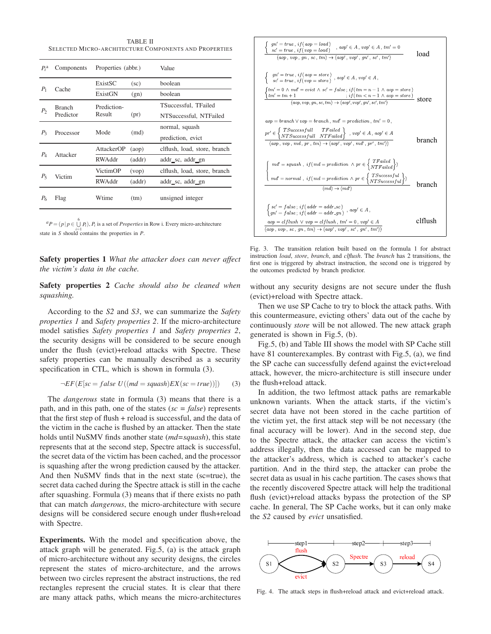TABLE II SELECTED MICRO-ARCHITECTURE COMPONENTS AND PROPERTIES

| $P_i^{\rm a}$  | Components                 | Properties (abbr.) |                 | Value                        |
|----------------|----------------------------|--------------------|-----------------|------------------------------|
| $P_1$          | Cache                      | ExistSC            | $(\mathrm{sc})$ | boolean                      |
|                |                            | ExistGN            | (gn)            | boolean                      |
| P <sub>2</sub> | <b>Branch</b><br>Predictor | Prediction-        |                 | TSuccessful, TFailed         |
|                |                            | Result             | (pr)            | NTSuccessful, NTFailed       |
| $P_{3}$        | Processor                  | Mode               | (md)            | normal, squash               |
|                |                            |                    |                 | prediction, evict            |
| $P_4$          | Attacker                   | AttackerOP         | (aop)           | clflush, load, store, branch |
|                |                            | RWAddr             | (addr)          | addr_sc, addr_gn             |
| $P_5$          | Victim                     | VictimOP           | (vop)           | clflush, load, store, branch |
|                |                            | RWAddr             | (addr)          | addr_sc, addr_gn             |
| P6             | Flag                       | Wtime              | (tm)            | unsigned integer             |

 ${}^{a}P = (p | p \in \bigcup_{i=1}^{6} P_i)$ ,  $P_i$  is a set of *Properties* in Row i. Every micro-architecture state in *S* should contains the properties in *P*.

Safety properties 1 *What the attacker does can never affect the victim's data in the cache.*

Safety properties 2 *Cache should also be cleaned when squashing.*

According to the *S2* and *S3*, we can summarize the *Safety properties 1* and *Safety properties 2*. If the micro-architecture model satisfies *Safety properties 1* and *Safety properties 2*, the security designs will be considered to be secure enough under the flush (evict)+reload attacks with Spectre. These safety properties can be manually described as a security specification in CTL, which is shown in formula (3).

$$
\neg EF(E[sc = false \ U((md = squash)EX(sc = true))]) \tag{3}
$$

The *dangerous* state in formula (3) means that there is a path, and in this path, one of the states (*sc = false*) represents that the first step of flush + reload is successful, and the data of the victim in the cache is flushed by an attacker. Then the state holds until NuSMV finds another state (*md=squash*), this state represents that at the second step, Spectre attack is successful, the secret data of the victim has been cached, and the processor is squashing after the wrong prediction caused by the attacker. And then NuSMV finds that in the next state (sc=true), the secret data cached during the Spectre attack is still in the cache after squashing. Formula (3) means that if there exists no path that can match *dangerous*, the micro-architecture with secure designs will be considered secure enough under flush+reload with Spectre.

Experiments. With the model and specification above, the attack graph will be generated. Fig.5, (a) is the attack graph of micro-architecture without any security designs, the circles represent the states of micro-architecture, and the arrows between two circles represent the abstract instructions, the red rectangles represent the crucial states. It is clear that there are many attack paths, which means the micro-architectures



Fig. 3. The transition relation built based on the formula 1 for abstract instruction *load*, *store*, *branch*, and *clflush*. The *branch* has 2 transitions, the first one is triggered by abstract instruction, the second one is triggered by the outcomes predicted by branch predictor.

without any security designs are not secure under the flush (evict)+reload with Spectre attack.

Then we use SP Cache to try to block the attack paths. With this countermeasure, evicting others' data out of the cache by continuously *store* will be not allowed. The new attack graph generated is shown in Fig.5, (b).

Fig.5, (b) and Table III shows the model with SP Cache still have 81 counterexamples. By contrast with Fig.5, (a), we find the SP cache can successfully defend against the evict+reload attack, however, the micro-architecture is still insecure under the flush+reload attack.

In addition, the two leftmost attack paths are remarkable unknown variants. When the attack starts, if the victim's secret data have not been stored in the cache partition of the victim yet, the first attack step will be not necessary (the final accuracy will be lower). And in the second step, due to the Spectre attack, the attacker can access the victim's address illegally, then the data accessed can be mapped to the attacker's address, which is cached to attacker's cache partition. And in the third step, the attacker can probe the secret data as usual in his cache partition. The cases shows that the recently discovered Spectre attack will help the traditional flush (evict)+reload attacks bypass the protection of the SP cache. In general, The SP Cache works, but it can only make the *S2* caused by *evict* unsatisfied.



Fig. 4. The attack steps in flush+reload attack and evict+reload attack.